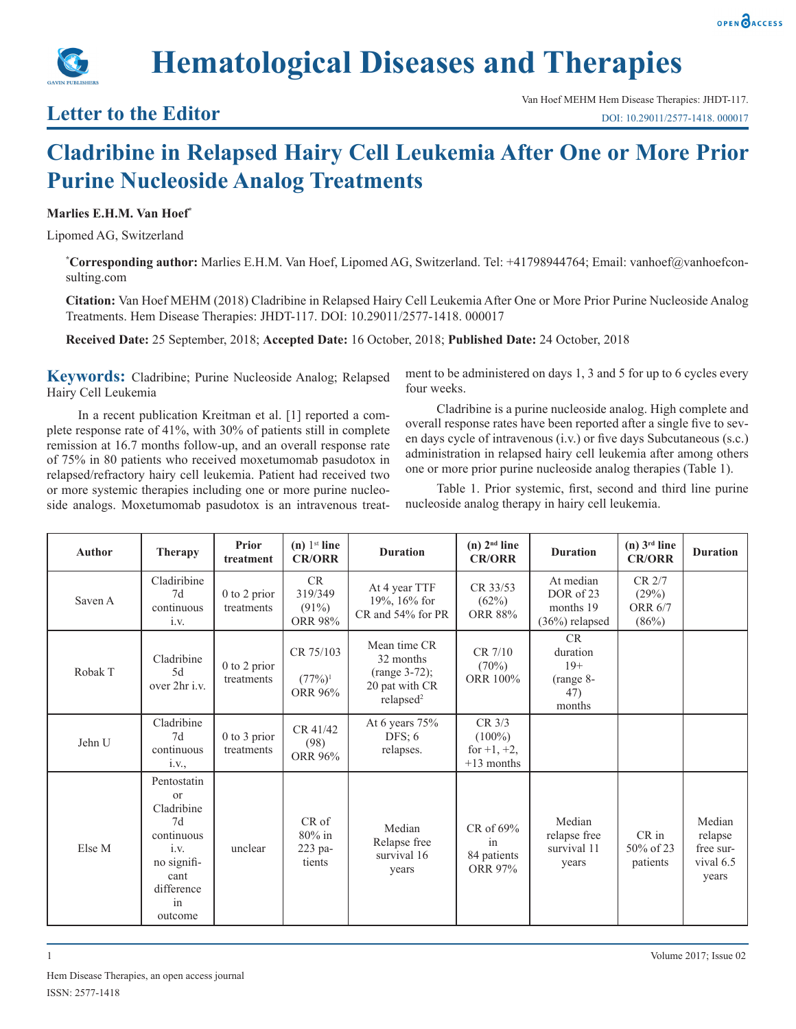



## **Letter to the Editor**

## **Cladribine in Relapsed Hairy Cell Leukemia After One or More Prior Purine Nucleoside Analog Treatments**

## **Marlies E.H.M. Van Hoef\***

Lipomed AG, Switzerland

**\* Corresponding author:** Marlies E.H.M. Van Hoef, Lipomed AG, Switzerland. Tel: +41798944764; Email: vanhoef@vanhoefconsulting.com

**Citation:** Van Hoef MEHM (2018) Cladribine in Relapsed Hairy Cell Leukemia After One or More Prior Purine Nucleoside Analog Treatments. Hem Disease Therapies: JHDT-117. DOI: 10.29011/2577-1418. 000017

**Received Date:** 25 September, 2018; **Accepted Date:** 16 October, 2018; **Published Date:** 24 October, 2018

**Keywords:** Cladribine; Purine Nucleoside Analog; Relapsed Hairy Cell Leukemia

In a recent publication Kreitman et al. [1] reported a complete response rate of 41%, with 30% of patients still in complete remission at 16.7 months follow-up, and an overall response rate of 75% in 80 patients who received moxetumomab pasudotox in relapsed/refractory hairy cell leukemia. Patient had received two or more systemic therapies including one or more purine nucleoside analogs. Moxetumomab pasudotox is an intravenous treatment to be administered on days 1, 3 and 5 for up to 6 cycles every four weeks.

Cladribine is a purine nucleoside analog. High complete and overall response rates have been reported after a single five to seven days cycle of intravenous (i.v.) or five days Subcutaneous (s.c.) administration in relapsed hairy cell leukemia after among others one or more prior purine nucleoside analog therapies (Table 1).

Table 1. Prior systemic, first, second and third line purine nucleoside analog therapy in hairy cell leukemia.

| <b>Author</b> | <b>Therapy</b>                                                                                                               | Prior<br>treatment             | $(n)$ 1 <sup>st</sup> line<br><b>CR/ORR</b>        | <b>Duration</b>                                                                         | $(n)$ $2nd$ line<br><b>CR/ORR</b>                      | <b>Duration</b>                                         | $(n)$ 3 <sup>rd</sup> line<br><b>CR/ORR</b> | <b>Duration</b>                                      |
|---------------|------------------------------------------------------------------------------------------------------------------------------|--------------------------------|----------------------------------------------------|-----------------------------------------------------------------------------------------|--------------------------------------------------------|---------------------------------------------------------|---------------------------------------------|------------------------------------------------------|
| Saven A       | Cladiribine<br>7d<br>continuous<br>i.v.                                                                                      | 0 to 2 prior<br>treatments     | <b>CR</b><br>319/349<br>$(91\%)$<br><b>ORR 98%</b> | At 4 year TTF<br>19%, 16% for<br>CR and 54% for PR                                      | CR 33/53<br>(62%)<br><b>ORR 88%</b>                    | At median<br>DOR of 23<br>months 19<br>$(36%)$ relapsed | CR 2/7<br>(29%)<br><b>ORR 6/7</b><br>(86%)  |                                                      |
| Robak T       | Cladribine<br>5d<br>over 2hr i.v.                                                                                            | 0 to 2 prior<br>treatments     | CR 75/103<br>$(77\%)^1$<br>ORR 96%                 | Mean time CR<br>32 months<br>$(range 3-72);$<br>20 pat with CR<br>relapsed <sup>2</sup> | CR 7/10<br>(70%)<br>ORR 100%                           | CR<br>duration<br>$19+$<br>(range 8-<br>47)<br>months   |                                             |                                                      |
| Jehn U        | Cladribine<br>7d<br>continuous<br>i.V.,                                                                                      | $0$ to $3$ prior<br>treatments | CR 41/42<br>(98)<br>ORR 96%                        | At 6 years 75%<br>DFS: $6$<br>relapses.                                                 | $CR$ 3/3<br>$(100\%)$<br>for $+1, +2,$<br>$+13$ months |                                                         |                                             |                                                      |
| Else M        | Pentostatin<br><sub>or</sub><br>Cladribine<br>7d<br>continuous<br>i.v.<br>no signifi-<br>cant<br>difference<br>in<br>outcome | unclear                        | CR of<br>80% in<br>223 pa-<br>tients               | Median<br>Relapse free<br>survival 16<br>years                                          | CR of 69%<br>in<br>84 patients<br>ORR 97%              | Median<br>relapse free<br>survival 11<br>years          | $CR$ in<br>50% of 23<br>patients            | Median<br>relapse<br>free sur-<br>vival 6.5<br>years |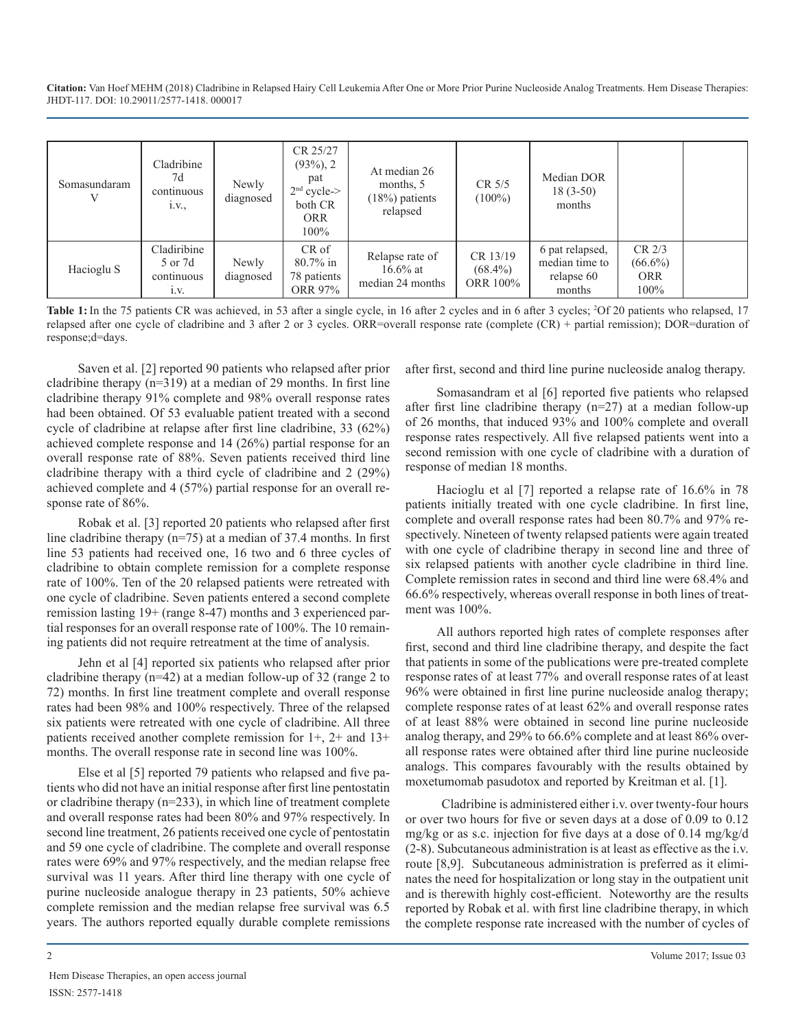**Citation:** Van Hoef MEHM (2018) Cladribine in Relapsed Hairy Cell Leukemia After One or More Prior Purine Nucleoside Analog Treatments. Hem Disease Therapies: JHDT-117. DOI: 10.29011/2577-1418. 000017

| Somasundaram | Cladribine<br>7d<br>continuous<br>1.V.,      | Newly<br>diagnosed | CR 25/27<br>$(93\%, 2)$<br>pat<br>$2nd$ cycle-><br>both CR<br><b>ORR</b><br>$100\%$ | At median 26<br>months, 5<br>$(18%)$ patients<br>relapsed | CR 5/5<br>$(100\%)$                | Median DOR<br>$18(3-50)$<br>months                        |                                                |  |
|--------------|----------------------------------------------|--------------------|-------------------------------------------------------------------------------------|-----------------------------------------------------------|------------------------------------|-----------------------------------------------------------|------------------------------------------------|--|
| Hacioglu S   | Cladiribine<br>5 or 7d<br>continuous<br>1.V. | Newly<br>diagnosed | CR of<br>$80.7\%$ in<br>78 patients<br>ORR 97%                                      | Relapse rate of<br>$16.6\%$ at<br>median 24 months        | CR 13/19<br>$(68.4\%)$<br>ORR 100% | 6 pat relapsed,<br>median time to<br>relapse 60<br>months | $CR$ $2/3$<br>$(66.6\%)$<br><b>ORR</b><br>100% |  |

Table 1: In the 75 patients CR was achieved, in 53 after a single cycle, in 16 after 2 cycles and in 6 after 3 cycles; <sup>2</sup>Of 20 patients who relapsed, 17 relapsed after one cycle of cladribine and 3 after 2 or 3 cycles. ORR=overall response rate (complete (CR) + partial remission); DOR=duration of response;d=days.

Saven et al. [2] reported 90 patients who relapsed after prior cladribine therapy (n=319) at a median of 29 months. In first line cladribine therapy 91% complete and 98% overall response rates had been obtained. Of 53 evaluable patient treated with a second cycle of cladribine at relapse after first line cladribine, 33 (62%) achieved complete response and 14 (26%) partial response for an overall response rate of 88%. Seven patients received third line cladribine therapy with a third cycle of cladribine and 2 (29%) achieved complete and 4 (57%) partial response for an overall response rate of 86%.

Robak et al. [3] reported 20 patients who relapsed after first line cladribine therapy (n=75) at a median of 37.4 months. In first line 53 patients had received one, 16 two and 6 three cycles of cladribine to obtain complete remission for a complete response rate of 100%. Ten of the 20 relapsed patients were retreated with one cycle of cladribine. Seven patients entered a second complete remission lasting 19+ (range 8-47) months and 3 experienced partial responses for an overall response rate of 100%. The 10 remaining patients did not require retreatment at the time of analysis.

Jehn et al [4] reported six patients who relapsed after prior cladribine therapy (n=42) at a median follow-up of 32 (range 2 to 72) months. In first line treatment complete and overall response rates had been 98% and 100% respectively. Three of the relapsed six patients were retreated with one cycle of cladribine. All three patients received another complete remission for 1+, 2+ and 13+ months. The overall response rate in second line was 100%.

Else et al [5] reported 79 patients who relapsed and five patients who did not have an initial response after first line pentostatin or cladribine therapy (n=233), in which line of treatment complete and overall response rates had been 80% and 97% respectively. In second line treatment, 26 patients received one cycle of pentostatin and 59 one cycle of cladribine. The complete and overall response rates were 69% and 97% respectively, and the median relapse free survival was 11 years. After third line therapy with one cycle of purine nucleoside analogue therapy in 23 patients, 50% achieve complete remission and the median relapse free survival was 6.5 years. The authors reported equally durable complete remissions

after first, second and third line purine nucleoside analog therapy.

Somasandram et al [6] reported five patients who relapsed after first line cladribine therapy  $(n=27)$  at a median follow-up of 26 months, that induced 93% and 100% complete and overall response rates respectively. All five relapsed patients went into a second remission with one cycle of cladribine with a duration of response of median 18 months.

Hacioglu et al [7] reported a relapse rate of 16.6% in 78 patients initially treated with one cycle cladribine. In first line, complete and overall response rates had been 80.7% and 97% respectively. Nineteen of twenty relapsed patients were again treated with one cycle of cladribine therapy in second line and three of six relapsed patients with another cycle cladribine in third line. Complete remission rates in second and third line were 68.4% and 66.6% respectively, whereas overall response in both lines of treatment was 100%.

All authors reported high rates of complete responses after first, second and third line cladribine therapy, and despite the fact that patients in some of the publications were pre-treated complete response rates of at least 77% and overall response rates of at least 96% were obtained in first line purine nucleoside analog therapy; complete response rates of at least 62% and overall response rates of at least 88% were obtained in second line purine nucleoside analog therapy, and 29% to 66.6% complete and at least 86% overall response rates were obtained after third line purine nucleoside analogs. This compares favourably with the results obtained by moxetumomab pasudotox and reported by Kreitman et al. [1].

 Cladribine is administered either i.v. over twenty-four hours or over two hours for five or seven days at a dose of 0.09 to 0.12 mg/kg or as s.c. injection for five days at a dose of 0.14 mg/kg/d (2-8). Subcutaneous administration is at least as effective as the i.v. route [8,9]. Subcutaneous administration is preferred as it eliminates the need for hospitalization or long stay in the outpatient unit and is therewith highly cost-efficient. Noteworthy are the results reported by Robak et al. with first line cladribine therapy, in which the complete response rate increased with the number of cycles of